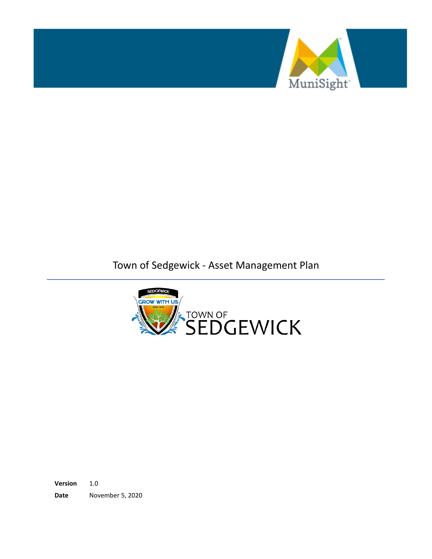

Town of Sedgewick - Asset Management Plan



**Version** 1.0 **Date** November 5, 2020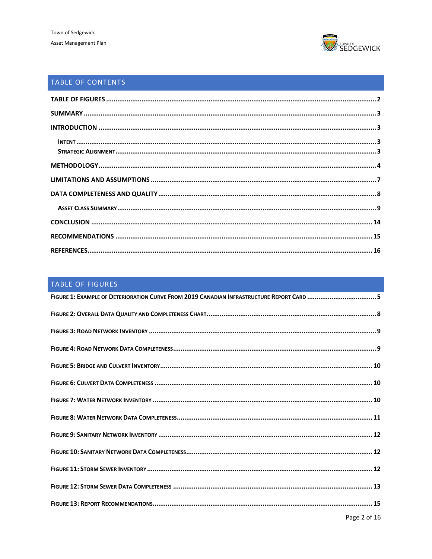

# TABLE OF CONTENTS

# <span id="page-1-0"></span>TABLE OF FIGURES

| FIGURE 1: EXAMPLE OF DETERIORATION CURVE FROM 2019 CANADIAN INFRASTRUCTURE REPORT CARD 5 |
|------------------------------------------------------------------------------------------|
|                                                                                          |
|                                                                                          |
|                                                                                          |
|                                                                                          |
|                                                                                          |
|                                                                                          |
|                                                                                          |
|                                                                                          |
|                                                                                          |
|                                                                                          |
|                                                                                          |
|                                                                                          |
|                                                                                          |
|                                                                                          |
|                                                                                          |
|                                                                                          |
|                                                                                          |
|                                                                                          |
|                                                                                          |
|                                                                                          |
|                                                                                          |
|                                                                                          |
|                                                                                          |
|                                                                                          |
|                                                                                          |
|                                                                                          |
|                                                                                          |
|                                                                                          |
|                                                                                          |
|                                                                                          |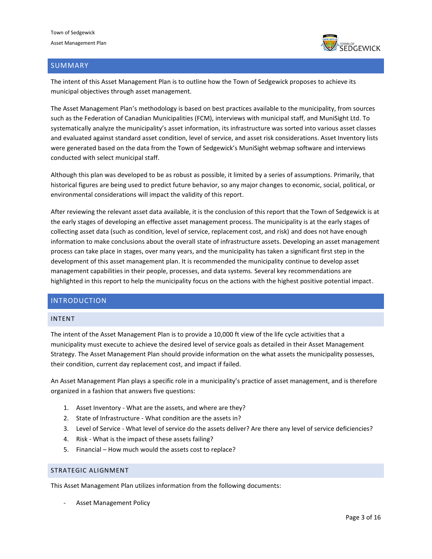

### <span id="page-2-0"></span>SUMMARY

The intent of this Asset Management Plan is to outline how the Town of Sedgewick proposes to achieve its municipal objectives through asset management.

The Asset Management Plan's methodology is based on best practices available to the municipality, from sources such as the Federation of Canadian Municipalities (FCM), interviews with municipal staff, and MuniSight Ltd. To systematically analyze the municipality's asset information, its infrastructure was sorted into various asset classes and evaluated against standard asset condition, level of service, and asset risk considerations. Asset Inventory lists were generated based on the data from the Town of Sedgewick's MuniSight webmap software and interviews conducted with select municipal staff.

Although this plan was developed to be as robust as possible, it limited by a series of assumptions. Primarily, that historical figures are being used to predict future behavior, so any major changes to economic, social, political, or environmental considerations will impact the validity of this report.

After reviewing the relevant asset data available, it is the conclusion of this report that the Town of Sedgewick is at the early stages of developing an effective asset management process. The municipality is at the early stages of collecting asset data (such as condition, level of service, replacement cost, and risk) and does not have enough information to make conclusions about the overall state of infrastructure assets. Developing an asset management process can take place in stages, over many years, and the municipality has taken a significant first step in the development of this asset management plan. It is recommended the municipality continue to develop asset management capabilities in their people, processes, and data systems. Several key recommendations are highlighted in this report to help the municipality focus on the actions with the highest positive potential impact.

### <span id="page-2-1"></span>INTRODUCTION

#### <span id="page-2-2"></span>INTENT

The intent of the Asset Management Plan is to provide a 10,000 ft view of the life cycle activities that a municipality must execute to achieve the desired level of service goals as detailed in their Asset Management Strategy. The Asset Management Plan should provide information on the what assets the municipality possesses, their condition, current day replacement cost, and impact if failed.

An Asset Management Plan plays a specific role in a municipality's practice of asset management, and is therefore organized in a fashion that answers five questions:

- 1. Asset Inventory What are the assets, and where are they?
- 2. State of Infrastructure What condition are the assets in?
- 3. Level of Service What level of service do the assets deliver? Are there any level of service deficiencies?
- 4. Risk What is the impact of these assets failing?
- 5. Financial How much would the assets cost to replace?

### <span id="page-2-3"></span>STRATEGIC ALIGNMENT

This Asset Management Plan utilizes information from the following documents:

Asset Management Policy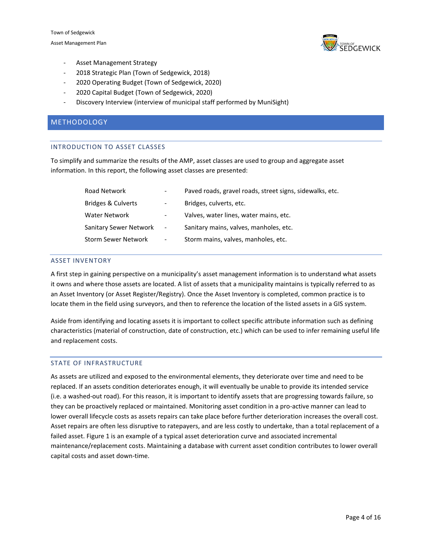Town of Sedgewick Asset Management Plan



- Asset Management Strategy
- 2018 Strategic Plan (Town of Sedgewick, 2018)
- 2020 Operating Budget (Town of Sedgewick, 2020)
- 2020 Capital Budget (Town of Sedgewick, 2020)
- Discovery Interview (interview of municipal staff performed by MuniSight)

### <span id="page-3-0"></span>METHODOLOGY

#### INTRODUCTION TO ASSET CLASSES

To simplify and summarize the results of the AMP, asset classes are used to group and aggregate asset information. In this report, the following asset classes are presented:

| Road Network                  |                          | Paved roads, gravel roads, street signs, sidewalks, etc. |
|-------------------------------|--------------------------|----------------------------------------------------------|
| <b>Bridges &amp; Culverts</b> |                          | Bridges, culverts, etc.                                  |
| Water Network                 | $\overline{\phantom{0}}$ | Valves, water lines, water mains, etc.                   |
| <b>Sanitary Sewer Network</b> | $\overline{\phantom{a}}$ | Sanitary mains, valves, manholes, etc.                   |
| <b>Storm Sewer Network</b>    | $\overline{\phantom{a}}$ | Storm mains, valves, manholes, etc.                      |

#### ASSET INVENTORY

A first step in gaining perspective on a municipality's asset management information is to understand what assets it owns and where those assets are located. A list of assets that a municipality maintains is typically referred to as an Asset Inventory (or Asset Register/Registry). Once the Asset Inventory is completed, common practice is to locate them in the field using surveyors, and then to reference the location of the listed assets in a GIS system.

Aside from identifying and locating assets it is important to collect specific attribute information such as defining characteristics (material of construction, date of construction, etc.) which can be used to infer remaining useful life and replacement costs.

#### STATE OF INFRASTRUCTURE

As assets are utilized and exposed to the environmental elements, they deteriorate over time and need to be replaced. If an assets condition deteriorates enough, it will eventually be unable to provide its intended service (i.e. a washed-out road). For this reason, it is important to identify assets that are progressing towards failure, so they can be proactively replaced or maintained. Monitoring asset condition in a pro-active manner can lead to lower overall lifecycle costs as assets repairs can take place before further deterioration increases the overall cost. Asset repairs are often less disruptive to ratepayers, and are less costly to undertake, than a total replacement of a failed asset. Figure 1 is an example of a typical asset deterioration curve and associated incremental maintenance/replacement costs. Maintaining a database with current asset condition contributes to lower overall capital costs and asset down-time.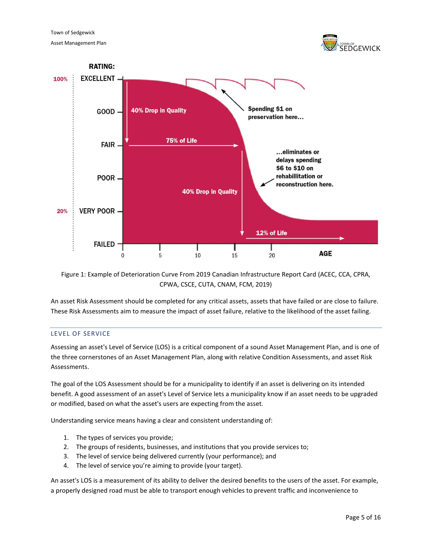



<span id="page-4-0"></span>Figure 1: Example of Deterioration Curve From 2019 Canadian Infrastructure Report Card (ACEC, CCA, CPRA, CPWA, CSCE, CUTA, CNAM, FCM, 2019)

An asset Risk Assessment should be completed for any critical assets, assets that have failed or are close to failure. These Risk Assessments aim to measure the impact of asset failure, relative to the likelihood of the asset failing.

#### LEVEL OF SERVICE

Assessing an asset's Level of Service (LOS) is a critical component of a sound Asset Management Plan, and is one of the three cornerstones of an Asset Management Plan, along with relative Condition Assessments, and asset Risk Assessments.

The goal of the LOS Assessment should be for a municipality to identify if an asset is delivering on its intended benefit. A good assessment of an asset's Level of Service lets a municipality know if an asset needs to be upgraded or modified, based on what the asset's users are expecting from the asset.

Understanding service means having a clear and consistent understanding of:

- 1. The types of services you provide;
- 2. The groups of residents, businesses, and institutions that you provide services to;
- 3. The level of service being delivered currently (your performance); and
- 4. The level of service you're aiming to provide (your target).

An asset's LOS is a measurement of its ability to deliver the desired benefits to the users of the asset. For example, a properly designed road must be able to transport enough vehicles to prevent traffic and inconvenience to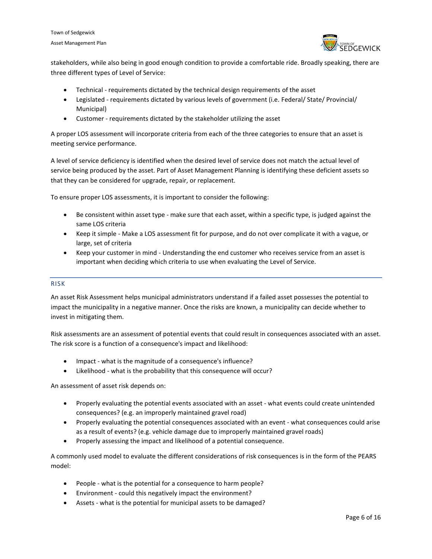

stakeholders, while also being in good enough condition to provide a comfortable ride. Broadly speaking, there are three different types of Level of Service:

- Technical requirements dictated by the technical design requirements of the asset
- Legislated requirements dictated by various levels of government (i.e. Federal/ State/ Provincial/ Municipal)
- Customer requirements dictated by the stakeholder utilizing the asset

A proper LOS assessment will incorporate criteria from each of the three categories to ensure that an asset is meeting service performance.

A level of service deficiency is identified when the desired level of service does not match the actual level of service being produced by the asset. Part of Asset Management Planning is identifying these deficient assets so that they can be considered for upgrade, repair, or replacement.

To ensure proper LOS assessments, it is important to consider the following:

- Be consistent within asset type make sure that each asset, within a specific type, is judged against the same LOS criteria
- Keep it simple Make a LOS assessment fit for purpose, and do not over complicate it with a vague, or large, set of criteria
- Keep your customer in mind Understanding the end customer who receives service from an asset is important when deciding which criteria to use when evaluating the Level of Service.

#### RISK

An asset Risk Assessment helps municipal administrators understand if a failed asset possesses the potential to impact the municipality in a negative manner. Once the risks are known, a municipality can decide whether to invest in mitigating them.

Risk assessments are an assessment of potential events that could result in consequences associated with an asset. The risk score is a function of a consequence's impact and likelihood:

- Impact what is the magnitude of a consequence's influence?
- Likelihood what is the probability that this consequence will occur?

An assessment of asset risk depends on:

- Properly evaluating the potential events associated with an asset what events could create unintended consequences? (e.g. an improperly maintained gravel road)
- Properly evaluating the potential consequences associated with an event what consequences could arise as a result of events? (e.g. vehicle damage due to improperly maintained gravel roads)
- Properly assessing the impact and likelihood of a potential consequence.

A commonly used model to evaluate the different considerations of risk consequences is in the form of the PEARS model:

- People what is the potential for a consequence to harm people?
- Environment could this negatively impact the environment?
- Assets what is the potential for municipal assets to be damaged?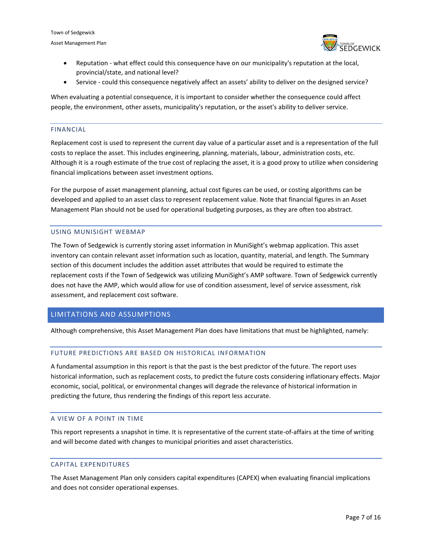Town of Sedgewick Asset Management Plan



- Reputation what effect could this consequence have on our municipality's reputation at the local, provincial/state, and national level?
- Service could this consequence negatively affect an assets' ability to deliver on the designed service?

When evaluating a potential consequence, it is important to consider whether the consequence could affect people, the environment, other assets, municipality's reputation, or the asset's ability to deliver service.

#### FINANCIAL

Replacement cost is used to represent the current day value of a particular asset and is a representation of the full costs to replace the asset. This includes engineering, planning, materials, labour, administration costs, etc. Although it is a rough estimate of the true cost of replacing the asset, it is a good proxy to utilize when considering financial implications between asset investment options.

For the purpose of asset management planning, actual cost figures can be used, or costing algorithms can be developed and applied to an asset class to represent replacement value. Note that financial figures in an Asset Management Plan should not be used for operational budgeting purposes, as they are often too abstract.

#### USING MUNISIGHT WEBMAP

The Town of Sedgewick is currently storing asset information in MuniSight's webmap application. This asset inventory can contain relevant asset information such as location, quantity, material, and length. The Summary section of this document includes the addition asset attributes that would be required to estimate the replacement costs if the Town of Sedgewick was utilizing MuniSight's AMP software. Town of Sedgewick currently does not have the AMP, which would allow for use of condition assessment, level of service assessment, risk assessment, and replacement cost software.

#### <span id="page-6-0"></span>LIMITATIONS AND ASSUMPTIONS

Although comprehensive, this Asset Management Plan does have limitations that must be highlighted, namely:

#### FUTURE PREDICTIONS ARE BASED ON HISTORICAL INFORMATION

A fundamental assumption in this report is that the past is the best predictor of the future. The report uses historical information, such as replacement costs, to predict the future costs considering inflationary effects. Major economic, social, political, or environmental changes will degrade the relevance of historical information in predicting the future, thus rendering the findings of this report less accurate.

#### A VIEW OF A POINT IN TIME

This report represents a snapshot in time. It is representative of the current state-of-affairs at the time of writing and will become dated with changes to municipal priorities and asset characteristics.

#### CAPITAL EXPENDITURES

The Asset Management Plan only considers capital expenditures (CAPEX) when evaluating financial implications and does not consider operational expenses.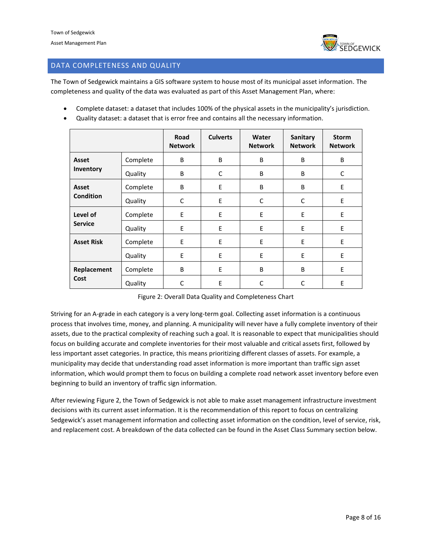

### <span id="page-7-0"></span>DATA COMPLETENESS AND QUALITY

The Town of Sedgewick maintains a GIS software system to house most of its municipal asset information. The completeness and quality of the data was evaluated as part of this Asset Management Plan, where:

- Complete dataset: a dataset that includes 100% of the physical assets in the municipality's jurisdiction.
- Quality dataset: a dataset that is error free and contains all the necessary information.

|                   |          | Road<br><b>Network</b> | <b>Culverts</b> | Water<br><b>Network</b> | Sanitary<br><b>Network</b> | <b>Storm</b><br><b>Network</b> |
|-------------------|----------|------------------------|-----------------|-------------------------|----------------------------|--------------------------------|
| Asset             | Complete | B                      | B               | B                       | B                          | B                              |
| Inventory         | Quality  | B                      | C               | B                       | B                          | C                              |
| Asset             | Complete | B                      | E               | B                       | B                          | E                              |
| <b>Condition</b>  | Quality  | C                      | E               | C                       | C                          | E                              |
| Level of          | Complete | Ε                      | E               | E                       | E                          | E                              |
| <b>Service</b>    | Quality  | E                      | E               | E                       | E                          | E                              |
| <b>Asset Risk</b> | Complete | E                      | E               | E                       | E                          | E                              |
|                   | Quality  | E                      | E               | E                       | E                          | E                              |
| Replacement       | Complete | B                      | E               | B                       | B                          | E                              |
| Cost              | Quality  | C                      | E               | C                       | C                          | E                              |

Figure 2: Overall Data Quality and Completeness Chart

<span id="page-7-1"></span>Striving for an A-grade in each category is a very long-term goal. Collecting asset information is a continuous process that involves time, money, and planning. A municipality will never have a fully complete inventory of their assets, due to the practical complexity of reaching such a goal. It is reasonable to expect that municipalities should focus on building accurate and complete inventories for their most valuable and critical assets first, followed by less important asset categories. In practice, this means prioritizing different classes of assets. For example, a municipality may decide that understanding road asset information is more important than traffic sign asset information, which would prompt them to focus on building a complete road network asset inventory before even beginning to build an inventory of traffic sign information.

After reviewing Figure 2, the Town of Sedgewick is not able to make asset management infrastructure investment decisions with its current asset information. It is the recommendation of this report to focus on centralizing Sedgewick's asset management information and collecting asset information on the condition, level of service, risk, and replacement cost. A breakdown of the data collected can be found in the Asset Class Summary section below.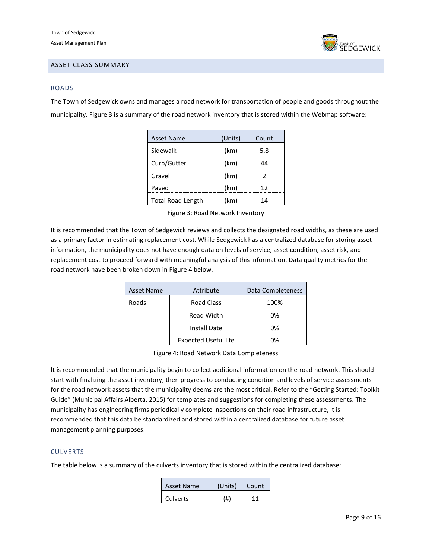

### <span id="page-8-0"></span>ASSET CLASS SUMMARY

#### ROADS

The Town of Sedgewick owns and manages a road network for transportation of people and goods throughout the municipality. Figure 3 is a summary of the road network inventory that is stored within the Webmap software:

| <b>Asset Name</b>        | (Units) | Count         |
|--------------------------|---------|---------------|
| Sidewalk                 | (km)    | 5.8           |
| Curb/Gutter              | (km)    | 44            |
| Gravel                   | (km)    | $\mathcal{P}$ |
| Paved                    | (km)    | 12            |
| <b>Total Road Length</b> | (km)    | 14            |

Figure 3: Road Network Inventory

<span id="page-8-1"></span>It is recommended that the Town of Sedgewick reviews and collects the designated road widths, as these are used as a primary factor in estimating replacement cost. While Sedgewick has a centralized database for storing asset information, the municipality does not have enough data on levels of service, asset condition, asset risk, and replacement cost to proceed forward with meaningful analysis of this information. Data quality metrics for the road network have been broken down in Figure 4 below.

| <b>Asset Name</b> | Attribute                   | Data Completeness |
|-------------------|-----------------------------|-------------------|
| Roads             | <b>Road Class</b>           | 100%              |
|                   | Road Width                  | 0%                |
|                   | <b>Install Date</b>         | 0%                |
|                   | <b>Expected Useful life</b> | 0%                |

Figure 4: Road Network Data Completeness

<span id="page-8-2"></span>It is recommended that the municipality begin to collect additional information on the road network. This should start with finalizing the asset inventory, then progress to conducting condition and levels of service assessments for the road network assets that the municipality deems are the most critical. Refer to the "Getting Started: Toolkit Guide" (Municipal Affairs Alberta, 2015) for templates and suggestions for completing these assessments. The municipality has engineering firms periodically complete inspections on their road infrastructure, it is recommended that this data be standardized and stored within a centralized database for future asset management planning purposes.

#### CULVERTS

The table below is a summary of the culverts inventory that is stored within the centralized database:

| <b>Asset Name</b> | (Units) | Count |
|-------------------|---------|-------|
| Culverts          | (#)     | 11    |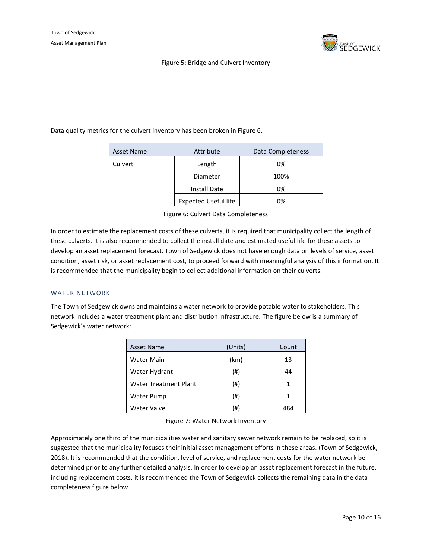

<span id="page-9-0"></span>Data quality metrics for the culvert inventory has been broken in Figure 6.

| Asset Name | Attribute            | Data Completeness |
|------------|----------------------|-------------------|
| Culvert    | Length               | 0%                |
|            | Diameter             | 100%              |
|            | <b>Install Date</b>  | 0%                |
|            | Expected Useful life | 0%                |

Figure 6: Culvert Data Completeness

<span id="page-9-1"></span>In order to estimate the replacement costs of these culverts, it is required that municipality collect the length of these culverts. It is also recommended to collect the install date and estimated useful life for these assets to develop an asset replacement forecast. Town of Sedgewick does not have enough data on levels of service, asset condition, asset risk, or asset replacement cost, to proceed forward with meaningful analysis of this information. It is recommended that the municipality begin to collect additional information on their culverts.

#### WATER NETWORK

The Town of Sedgewick owns and maintains a water network to provide potable water to stakeholders. This network includes a water treatment plant and distribution infrastructure. The figure below is a summary of Sedgewick's water network:

| <b>Asset Name</b>     | (Units) | Count |
|-----------------------|---------|-------|
| Water Main            | (km)    | 13    |
| Water Hydrant         | (# )    | 44    |
| Water Treatment Plant | (#)     | 1     |
| <b>Water Pump</b>     | (#)     | 1     |
| Water Valve           | (#)     | 484   |

Figure 7: Water Network Inventory

<span id="page-9-2"></span>Approximately one third of the municipalities water and sanitary sewer network remain to be replaced, so it is suggested that the municipality focuses their initial asset management efforts in these areas. (Town of Sedgewick, 2018). It is recommended that the condition, level of service, and replacement costs for the water network be determined prior to any further detailed analysis. In order to develop an asset replacement forecast in the future, including replacement costs, it is recommended the Town of Sedgewick collects the remaining data in the data completeness figure below.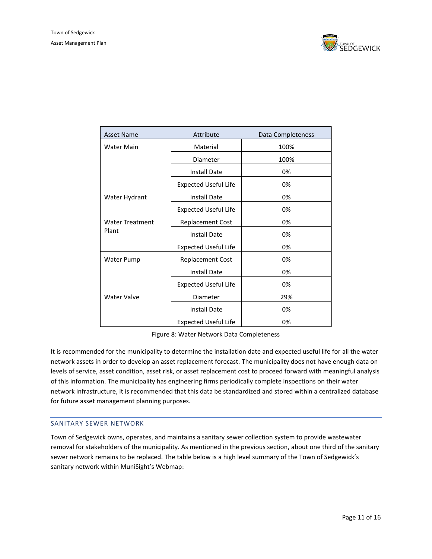

| <b>Asset Name</b>      | Attribute                   | Data Completeness |
|------------------------|-----------------------------|-------------------|
| <b>Water Main</b>      | Material                    | 100%              |
|                        | Diameter                    | 100%              |
|                        | <b>Install Date</b>         | 0%                |
|                        | <b>Expected Useful Life</b> | 0%                |
| Water Hydrant          | <b>Install Date</b>         | 0%                |
|                        | <b>Expected Useful Life</b> | 0%                |
| <b>Water Treatment</b> | <b>Replacement Cost</b>     | 0%                |
| Plant                  | <b>Install Date</b>         | 0%                |
|                        | <b>Expected Useful Life</b> | 0%                |
| Water Pump             | <b>Replacement Cost</b>     | 0%                |
|                        | <b>Install Date</b>         | 0%                |
|                        | <b>Expected Useful Life</b> | 0%                |
| Water Valve            | Diameter                    | 29%               |
|                        | <b>Install Date</b>         | 0%                |
|                        | <b>Expected Useful Life</b> | 0%                |

Figure 8: Water Network Data Completeness

<span id="page-10-0"></span>It is recommended for the municipality to determine the installation date and expected useful life for all the water network assets in order to develop an asset replacement forecast. The municipality does not have enough data on levels of service, asset condition, asset risk, or asset replacement cost to proceed forward with meaningful analysis of this information. The municipality has engineering firms periodically complete inspections on their water network infrastructure, it is recommended that this data be standardized and stored within a centralized database for future asset management planning purposes.

#### SANITARY SEWER NETWORK

Town of Sedgewick owns, operates, and maintains a sanitary sewer collection system to provide wastewater removal for stakeholders of the municipality. As mentioned in the previous section, about one third of the sanitary sewer network remains to be replaced. The table below is a high level summary of the Town of Sedgewick's sanitary network within MuniSight's Webmap: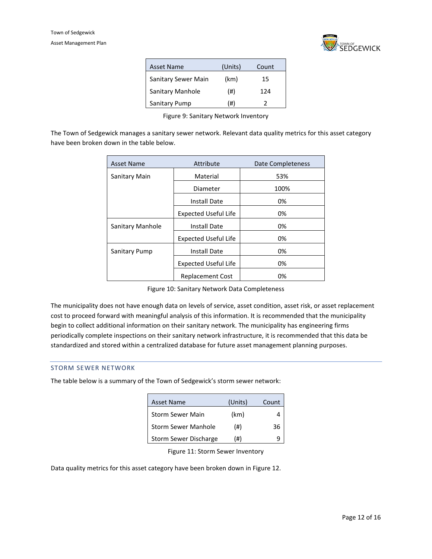

| <b>Asset Name</b>   | (Units) | Count |
|---------------------|---------|-------|
| Sanitary Sewer Main | (km)    | 15    |
| Sanitary Manhole    | (#)     | 124   |
| Sanitary Pump       | (#)     |       |

<span id="page-11-0"></span>Figure 9: Sanitary Network Inventory

The Town of Sedgewick manages a sanitary sewer network. Relevant data quality metrics for this asset category have been broken down in the table below.

| <b>Asset Name</b> | Attribute                   | Date Completeness |
|-------------------|-----------------------------|-------------------|
| Sanitary Main     | Material                    | 53%               |
|                   | Diameter                    | 100%              |
|                   | Install Date                | 0%                |
|                   | <b>Expected Useful Life</b> | 0%                |
| Sanitary Manhole  | <b>Install Date</b>         | 0%                |
|                   | <b>Expected Useful Life</b> | 0%                |
| Sanitary Pump     | <b>Install Date</b>         | 0%                |
|                   | <b>Expected Useful Life</b> | 0%                |
|                   | <b>Replacement Cost</b>     | 0%                |

Figure 10: Sanitary Network Data Completeness

<span id="page-11-1"></span>The municipality does not have enough data on levels of service, asset condition, asset risk, or asset replacement cost to proceed forward with meaningful analysis of this information. It is recommended that the municipality begin to collect additional information on their sanitary network. The municipality has engineering firms periodically complete inspections on their sanitary network infrastructure, it is recommended that this data be standardized and stored within a centralized database for future asset management planning purposes.

#### STORM SEWER NETWORK

The table below is a summary of the Town of Sedgewick's storm sewer network:

| <b>Asset Name</b>          | (Units) | Count |
|----------------------------|---------|-------|
| <b>Storm Sewer Main</b>    | (km)    |       |
| <b>Storm Sewer Manhole</b> | $(\#)$  | 36    |
| Storm Sewer Discharge      | (#)     |       |

Figure 11: Storm Sewer Inventory

<span id="page-11-2"></span>Data quality metrics for this asset category have been broken down in Figure 12.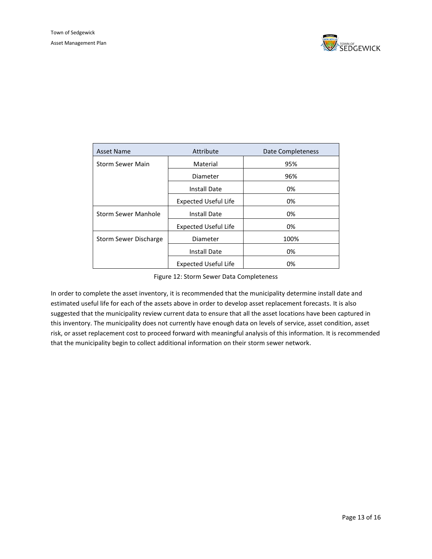

| <b>Asset Name</b>       | Attribute                   | <b>Date Completeness</b> |  |
|-------------------------|-----------------------------|--------------------------|--|
| <b>Storm Sewer Main</b> | Material                    | 95%                      |  |
|                         | Diameter                    | 96%                      |  |
|                         | Install Date                | 0%                       |  |
|                         | <b>Expected Useful Life</b> | 0%                       |  |
| Storm Sewer Manhole     | <b>Install Date</b>         | 0%                       |  |
|                         | <b>Expected Useful Life</b> | 0%                       |  |
| Storm Sewer Discharge   | Diameter                    | 100%                     |  |
|                         | <b>Install Date</b>         | 0%                       |  |
|                         | <b>Expected Useful Life</b> | 0%                       |  |

Figure 12: Storm Sewer Data Completeness

<span id="page-12-0"></span>In order to complete the asset inventory, it is recommended that the municipality determine install date and estimated useful life for each of the assets above in order to develop asset replacement forecasts. It is also suggested that the municipality review current data to ensure that all the asset locations have been captured in this inventory. The municipality does not currently have enough data on levels of service, asset condition, asset risk, or asset replacement cost to proceed forward with meaningful analysis of this information. It is recommended that the municipality begin to collect additional information on their storm sewer network.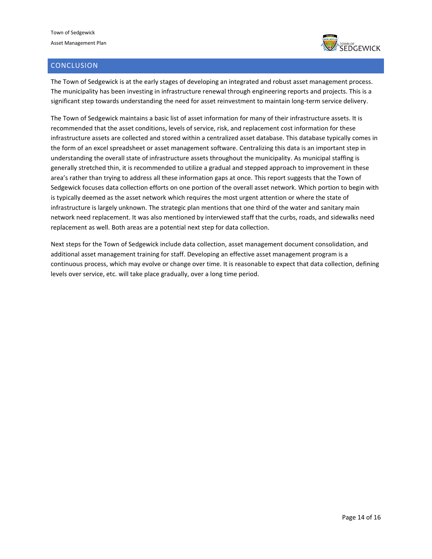

### <span id="page-13-0"></span>**CONCLUSION**

The Town of Sedgewick is at the early stages of developing an integrated and robust asset management process. The municipality has been investing in infrastructure renewal through engineering reports and projects. This is a significant step towards understanding the need for asset reinvestment to maintain long-term service delivery.

The Town of Sedgewick maintains a basic list of asset information for many of their infrastructure assets. It is recommended that the asset conditions, levels of service, risk, and replacement cost information for these infrastructure assets are collected and stored within a centralized asset database. This database typically comes in the form of an excel spreadsheet or asset management software. Centralizing this data is an important step in understanding the overall state of infrastructure assets throughout the municipality. As municipal staffing is generally stretched thin, it is recommended to utilize a gradual and stepped approach to improvement in these area's rather than trying to address all these information gaps at once. This report suggests that the Town of Sedgewick focuses data collection efforts on one portion of the overall asset network. Which portion to begin with is typically deemed as the asset network which requires the most urgent attention or where the state of infrastructure is largely unknown. The strategic plan mentions that one third of the water and sanitary main network need replacement. It was also mentioned by interviewed staff that the curbs, roads, and sidewalks need replacement as well. Both areas are a potential next step for data collection.

Next steps for the Town of Sedgewick include data collection, asset management document consolidation, and additional asset management training for staff. Developing an effective asset management program is a continuous process, which may evolve or change over time. It is reasonable to expect that data collection, defining levels over service, etc. will take place gradually, over a long time period.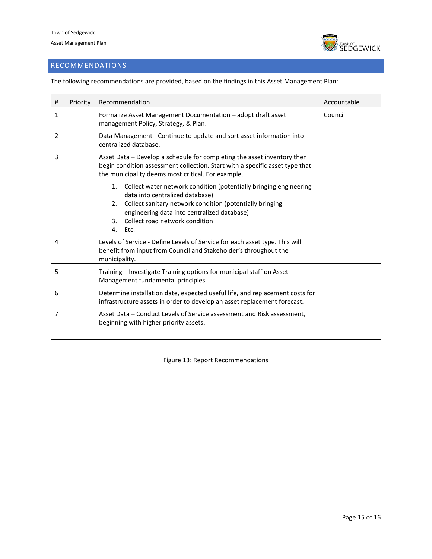Town of Sedgewick Asset Management Plan



# <span id="page-14-0"></span>RECOMMENDATIONS

The following recommendations are provided, based on the findings in this Asset Management Plan:

| # | Priority | Recommendation                                                                                                                                                                                                                                                                 | Accountable |
|---|----------|--------------------------------------------------------------------------------------------------------------------------------------------------------------------------------------------------------------------------------------------------------------------------------|-------------|
| 1 |          | Formalize Asset Management Documentation - adopt draft asset<br>management Policy, Strategy, & Plan.                                                                                                                                                                           | Council     |
| 2 |          | Data Management - Continue to update and sort asset information into<br>centralized database.                                                                                                                                                                                  |             |
| 3 |          | Asset Data - Develop a schedule for completing the asset inventory then<br>begin condition assessment collection. Start with a specific asset type that<br>the municipality deems most critical. For example,                                                                  |             |
|   |          | 1. Collect water network condition (potentially bringing engineering<br>data into centralized database)<br>Collect sanitary network condition (potentially bringing<br>2.<br>engineering data into centralized database)<br>Collect road network condition<br>3.<br>4.<br>Etc. |             |
| 4 |          | Levels of Service - Define Levels of Service for each asset type. This will<br>benefit from input from Council and Stakeholder's throughout the<br>municipality.                                                                                                               |             |
| 5 |          | Training - Investigate Training options for municipal staff on Asset<br>Management fundamental principles.                                                                                                                                                                     |             |
| 6 |          | Determine installation date, expected useful life, and replacement costs for<br>infrastructure assets in order to develop an asset replacement forecast.                                                                                                                       |             |
| 7 |          | Asset Data – Conduct Levels of Service assessment and Risk assessment,<br>beginning with higher priority assets.                                                                                                                                                               |             |
|   |          |                                                                                                                                                                                                                                                                                |             |
|   |          |                                                                                                                                                                                                                                                                                |             |

<span id="page-14-1"></span>Figure 13: Report Recommendations